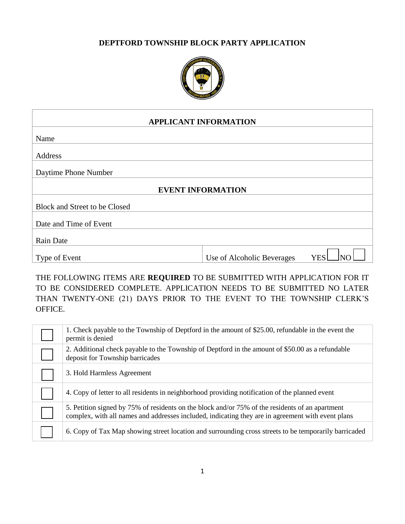#### **DEPTFORD TOWNSHIP BLOCK PARTY APPLICATION**



| <b>APPLICANT INFORMATION</b>  |                            |            |  |
|-------------------------------|----------------------------|------------|--|
| Name                          |                            |            |  |
| Address                       |                            |            |  |
| Daytime Phone Number          |                            |            |  |
| <b>EVENT INFORMATION</b>      |                            |            |  |
| Block and Street to be Closed |                            |            |  |
| Date and Time of Event        |                            |            |  |
| <b>Rain Date</b>              |                            |            |  |
| Type of Event                 | Use of Alcoholic Beverages | <b>YES</b> |  |
|                               |                            |            |  |

THE FOLLOWING ITEMS ARE **REQUIRED** TO BE SUBMITTED WITH APPLICATION FOR IT TO BE CONSIDERED COMPLETE. APPLICATION NEEDS TO BE SUBMITTED NO LATER THAN TWENTY-ONE (21) DAYS PRIOR TO THE EVENT TO THE TOWNSHIP CLERK'S OFFICE.

| 1. Check payable to the Township of Deptford in the amount of \$25.00, refundable in the event the<br>permit is denied                                                                               |
|------------------------------------------------------------------------------------------------------------------------------------------------------------------------------------------------------|
| 2. Additional check payable to the Township of Deptford in the amount of \$50.00 as a refundable<br>deposit for Township barricades                                                                  |
| 3. Hold Harmless Agreement                                                                                                                                                                           |
| 4. Copy of letter to all residents in neighborhood providing notification of the planned event                                                                                                       |
| 5. Petition signed by 75% of residents on the block and/or 75% of the residents of an apartment<br>complex, with all names and addresses included, indicating they are in agreement with event plans |
| 6. Copy of Tax Map showing street location and surrounding cross streets to be temporarily barricaded                                                                                                |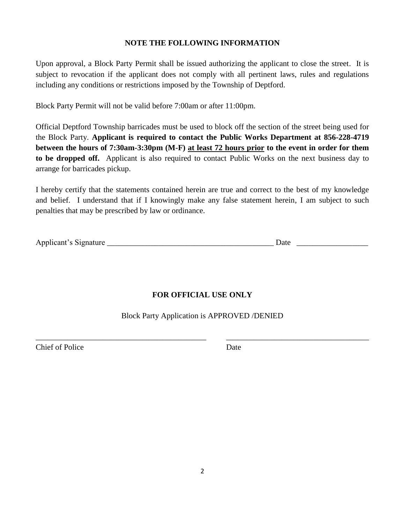#### **NOTE THE FOLLOWING INFORMATION**

Upon approval, a Block Party Permit shall be issued authorizing the applicant to close the street. It is subject to revocation if the applicant does not comply with all pertinent laws, rules and regulations including any conditions or restrictions imposed by the Township of Deptford.

Block Party Permit will not be valid before 7:00am or after 11:00pm.

Official Deptford Township barricades must be used to block off the section of the street being used for the Block Party. **Applicant is required to contact the Public Works Department at 856-228-4719 between the hours of 7:30am-3:30pm (M-F) at least 72 hours prior to the event in order for them to be dropped off.** Applicant is also required to contact Public Works on the next business day to arrange for barricades pickup.

I hereby certify that the statements contained herein are true and correct to the best of my knowledge and belief. I understand that if I knowingly make any false statement herein, I am subject to such penalties that may be prescribed by law or ordinance.

| Applicant's Signature |  |  |
|-----------------------|--|--|
|                       |  |  |

# **FOR OFFICIAL USE ONLY**

Block Party Application is APPROVED /DENIED

\_\_\_\_\_\_\_\_\_\_\_\_\_\_\_\_\_\_\_\_\_\_\_\_\_\_\_\_\_\_\_\_\_\_\_\_\_\_\_\_\_\_\_ \_\_\_\_\_\_\_\_\_\_\_\_\_\_\_\_\_\_\_\_\_\_\_\_\_\_\_\_\_\_\_\_\_\_\_\_

**Chief of Police Date**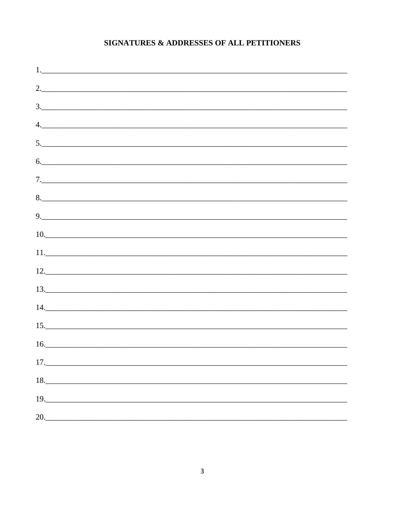## SIGNATURES & ADDRESSES OF ALL PETITIONERS

| 2.                                                                                                                                                                                                                                                                                                                                                                                                                                                                      |  |  |  |
|-------------------------------------------------------------------------------------------------------------------------------------------------------------------------------------------------------------------------------------------------------------------------------------------------------------------------------------------------------------------------------------------------------------------------------------------------------------------------|--|--|--|
| $\begin{array}{c c c c c c} \hline \textbf{3.} & \textbf{0.} & \textbf{0.} & \textbf{0.} & \textbf{0.} \\ \hline \textbf{1.} & \textbf{0.} & \textbf{0.} & \textbf{0.} & \textbf{0.} & \textbf{0.} \\ \hline \textbf{2.} & \textbf{0.} & \textbf{0.} & \textbf{0.} & \textbf{0.} & \textbf{0.} & \textbf{0.} \\ \hline \textbf{3.} & \textbf{0.} & \textbf{0.} & \textbf{0.} & \textbf{0.} & \textbf{0.}$                                                               |  |  |  |
| 4.                                                                                                                                                                                                                                                                                                                                                                                                                                                                      |  |  |  |
| 5.                                                                                                                                                                                                                                                                                                                                                                                                                                                                      |  |  |  |
| 6.                                                                                                                                                                                                                                                                                                                                                                                                                                                                      |  |  |  |
|                                                                                                                                                                                                                                                                                                                                                                                                                                                                         |  |  |  |
|                                                                                                                                                                                                                                                                                                                                                                                                                                                                         |  |  |  |
| 9.                                                                                                                                                                                                                                                                                                                                                                                                                                                                      |  |  |  |
|                                                                                                                                                                                                                                                                                                                                                                                                                                                                         |  |  |  |
| $11.$ $\overline{\phantom{a}}$ $\overline{\phantom{a}}$ $\overline{\phantom{a}}$ $\overline{\phantom{a}}$ $\overline{\phantom{a}}$ $\overline{\phantom{a}}$ $\overline{\phantom{a}}$ $\overline{\phantom{a}}$ $\overline{\phantom{a}}$ $\overline{\phantom{a}}$ $\overline{\phantom{a}}$ $\overline{\phantom{a}}$ $\overline{\phantom{a}}$ $\overline{\phantom{a}}$ $\overline{\phantom{a}}$ $\overline{\phantom{a}}$ $\overline{\phantom{a}}$ $\overline{\phantom{a}}$ |  |  |  |
| 12.                                                                                                                                                                                                                                                                                                                                                                                                                                                                     |  |  |  |
| 13.                                                                                                                                                                                                                                                                                                                                                                                                                                                                     |  |  |  |
|                                                                                                                                                                                                                                                                                                                                                                                                                                                                         |  |  |  |
| $14. \qquad \qquad$                                                                                                                                                                                                                                                                                                                                                                                                                                                     |  |  |  |
| $\begin{array}{c c c c c} \hline 15. & \multicolumn{2}{c }{\textbf{15}}\\ \hline \end{array}$<br>$\frac{16.}{20}$                                                                                                                                                                                                                                                                                                                                                       |  |  |  |
|                                                                                                                                                                                                                                                                                                                                                                                                                                                                         |  |  |  |
| 17.                                                                                                                                                                                                                                                                                                                                                                                                                                                                     |  |  |  |
| 18.                                                                                                                                                                                                                                                                                                                                                                                                                                                                     |  |  |  |
| 19.                                                                                                                                                                                                                                                                                                                                                                                                                                                                     |  |  |  |
| 20.                                                                                                                                                                                                                                                                                                                                                                                                                                                                     |  |  |  |